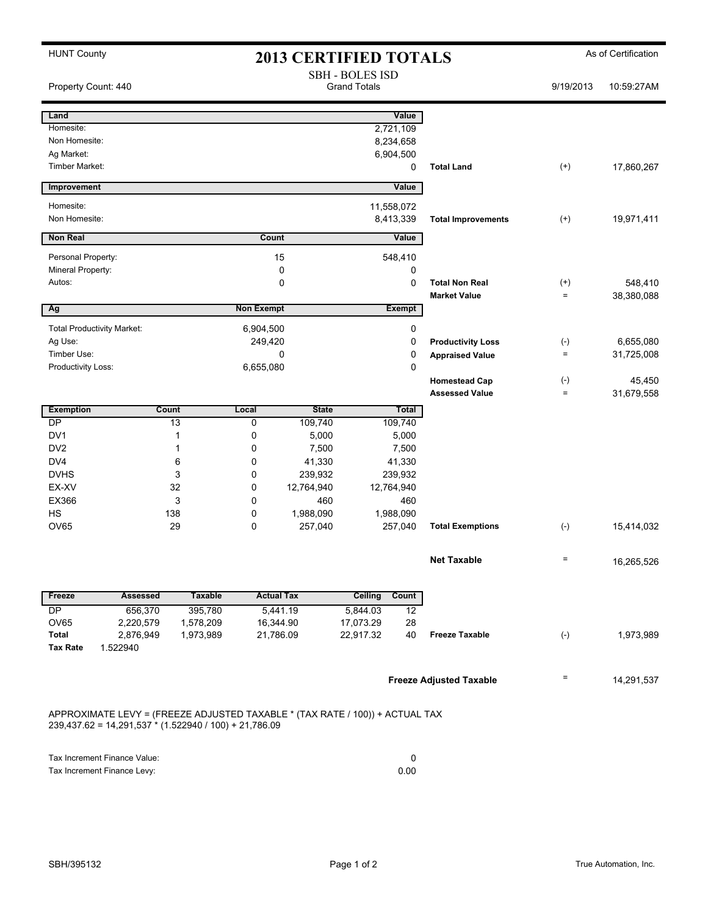| <b>HUNT County</b><br><b>2013 CERTIFIED TOTALS</b> |                                                                                                                                        |                                               |                   |                   |                      |                           | As of Certification                           |                     |                      |
|----------------------------------------------------|----------------------------------------------------------------------------------------------------------------------------------------|-----------------------------------------------|-------------------|-------------------|----------------------|---------------------------|-----------------------------------------------|---------------------|----------------------|
| Property Count: 440                                |                                                                                                                                        | <b>SBH - BOLES ISD</b><br><b>Grand Totals</b> |                   |                   |                      |                           | 9/19/2013                                     | 10:59:27AM          |                      |
| Land                                               |                                                                                                                                        |                                               |                   |                   |                      | Value                     |                                               |                     |                      |
| Homesite:                                          |                                                                                                                                        |                                               |                   |                   |                      | 2,721,109                 |                                               |                     |                      |
| Non Homesite:                                      |                                                                                                                                        |                                               |                   |                   |                      | 8,234,658                 |                                               |                     |                      |
| Ag Market:<br>Timber Market:                       |                                                                                                                                        |                                               |                   |                   |                      | 6,904,500<br>0            | <b>Total Land</b>                             |                     |                      |
|                                                    |                                                                                                                                        |                                               |                   |                   |                      |                           |                                               | $^{(+)}$            | 17,860,267           |
| Improvement                                        |                                                                                                                                        |                                               |                   |                   |                      | Value                     |                                               |                     |                      |
| Homesite:                                          | 11,558,072                                                                                                                             |                                               |                   |                   |                      |                           |                                               |                     |                      |
|                                                    | Non Homesite:<br>8,413,339                                                                                                             |                                               |                   |                   |                      | <b>Total Improvements</b> | $^{(+)}$                                      | 19,971,411          |                      |
| <b>Non Real</b>                                    |                                                                                                                                        |                                               |                   | Count<br>Value    |                      |                           |                                               |                     |                      |
| Personal Property:                                 |                                                                                                                                        |                                               |                   | 15                | 548,410              |                           |                                               |                     |                      |
| Mineral Property:                                  |                                                                                                                                        |                                               |                   | 0                 |                      | 0                         |                                               |                     |                      |
| Autos:                                             |                                                                                                                                        |                                               |                   | 0                 |                      | $\mathbf 0$               | <b>Total Non Real</b>                         | $^{(+)}$            | 548,410              |
|                                                    |                                                                                                                                        |                                               |                   |                   |                      |                           | <b>Market Value</b>                           | $=$                 | 38,380,088           |
| Ag                                                 |                                                                                                                                        |                                               | <b>Non Exempt</b> |                   |                      | <b>Exempt</b>             |                                               |                     |                      |
|                                                    | <b>Total Productivity Market:</b>                                                                                                      |                                               | 6,904,500         |                   |                      | 0                         |                                               |                     |                      |
| Ag Use:                                            |                                                                                                                                        |                                               | 249,420           |                   | 0                    |                           | <b>Productivity Loss</b>                      | $(-)$               | 6,655,080            |
| Timber Use:                                        |                                                                                                                                        |                                               | 0<br>0            |                   |                      |                           | <b>Appraised Value</b>                        | $=$                 | 31,725,008           |
| Productivity Loss:                                 |                                                                                                                                        |                                               |                   | 6,655,080<br>0    |                      |                           |                                               |                     |                      |
|                                                    |                                                                                                                                        |                                               |                   |                   |                      |                           | <b>Homestead Cap</b><br><b>Assessed Value</b> | $(\text{-})$<br>$=$ | 45,450<br>31,679,558 |
| <b>Exemption</b>                                   |                                                                                                                                        | Count                                         | Local             | <b>State</b>      |                      | Total                     |                                               |                     |                      |
| DP                                                 |                                                                                                                                        | 13                                            | 0                 | 109,740           |                      | 109,740                   |                                               |                     |                      |
| DV <sub>1</sub>                                    |                                                                                                                                        | 1                                             | 0                 | 5,000             |                      | 5,000                     |                                               |                     |                      |
| DV <sub>2</sub>                                    |                                                                                                                                        | 1                                             | 0                 | 7,500             | 7,500                |                           |                                               |                     |                      |
| DV <sub>4</sub>                                    |                                                                                                                                        | 6                                             | 0                 | 41,330            | 41,330               |                           |                                               |                     |                      |
| <b>DVHS</b>                                        |                                                                                                                                        | 3<br>0<br>239,932<br>239,932                  |                   |                   |                      |                           |                                               |                     |                      |
| EX-XV                                              |                                                                                                                                        | 32                                            | 0                 | 12,764,940        | 12,764,940           |                           |                                               |                     |                      |
| EX366<br><b>HS</b>                                 |                                                                                                                                        | 3<br>138                                      | $\Omega$<br>0     | 460<br>1,988,090  | 460                  |                           |                                               |                     |                      |
| <b>OV65</b>                                        |                                                                                                                                        | 29                                            | $\Omega$          | 257,040           | 1,988,090<br>257,040 |                           | <b>Total Exemptions</b>                       | $(-)$               | 15,414,032           |
|                                                    |                                                                                                                                        |                                               |                   |                   |                      |                           |                                               |                     |                      |
|                                                    |                                                                                                                                        |                                               |                   |                   |                      |                           | <b>Net Taxable</b>                            | $\equiv$            | 16,265,526           |
|                                                    |                                                                                                                                        |                                               |                   |                   |                      |                           |                                               |                     |                      |
| Freeze                                             | <b>Assessed</b>                                                                                                                        | <b>Taxable</b>                                |                   | <b>Actual Tax</b> | Ceiling              | Count                     |                                               |                     |                      |
| DP                                                 | 656,370                                                                                                                                | 395,780                                       |                   | 5,441.19          | 5,844.03             | 12                        |                                               |                     |                      |
| OV65                                               | 2,220,579                                                                                                                              | 1,578,209                                     |                   | 16,344.90         | 17,073.29            | 28                        |                                               |                     |                      |
| Total<br><b>Tax Rate</b>                           | 2,876,949<br>1.522940                                                                                                                  | 1,973,989                                     |                   | 21,786.09         | 22,917.32            | 40                        | <b>Freeze Taxable</b>                         | $(-)$               | 1,973,989            |
|                                                    |                                                                                                                                        |                                               |                   |                   |                      |                           |                                               |                     |                      |
|                                                    |                                                                                                                                        |                                               |                   |                   |                      |                           | <b>Freeze Adjusted Taxable</b>                | Ξ                   | 14,291,537           |
|                                                    | APPROXIMATE LEVY = (FREEZE ADJUSTED TAXABLE * (TAX RATE / 100)) + ACTUAL TAX<br>239,437.62 = 14,291,537 * (1.522940 / 100) + 21,786.09 |                                               |                   |                   |                      |                           |                                               |                     |                      |
|                                                    |                                                                                                                                        |                                               |                   |                   |                      |                           |                                               |                     |                      |

| Tax Increment Finance Value: |      |
|------------------------------|------|
| Tax Increment Finance Levy:  | 0.00 |